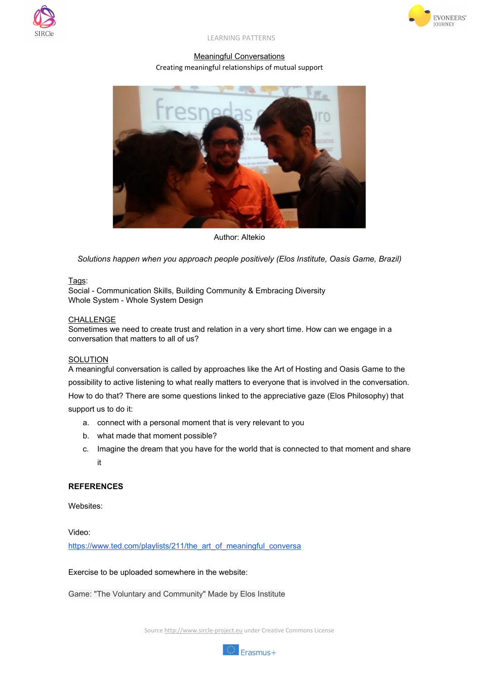



#### LEARNING PATTERNS

## Meaningful Conversations Creating meaningful relationships of mutual support



Author: Altekio

*Solutions happen when you approach people positively (Elos Institute, Oasis Game, Brazil)*

## Tags:

Social - Communication Skills, Building Community & Embracing Diversity Whole System - Whole System Design

## CHALLENGE

Sometimes we need to create trust and relation in a very short time. How can we engage in a conversation that matters to all of us?

### **SOLUTION**

A meaningful conversation is called by approaches like the Art of Hosting and Oasis Game to the possibility to active listening to what really matters to everyone that is involved in the conversation. How to do that? There are some questions linked to the appreciative gaze (Elos Philosophy) that support us to do it:

- a. connect with a personal moment that is very relevant to you
- b. what made that moment possible?
- c. Imagine the dream that you have for the world that is connected to that moment and share it

# **REFERENCES**

Websites:

Video:

[https://www.ted.com/playlists/211/the\\_art\\_of\\_meaningful\\_conversa](https://www.ted.com/playlists/211/the_art_of_meaningful_conversa)

### Exercise to be uploaded somewhere in the website:

Game: "The Voluntary and Community" Made by Elos Institute

Source [http://www.sircle-project.eu](http://www.sircle-project.eu/) under Creative Commons License